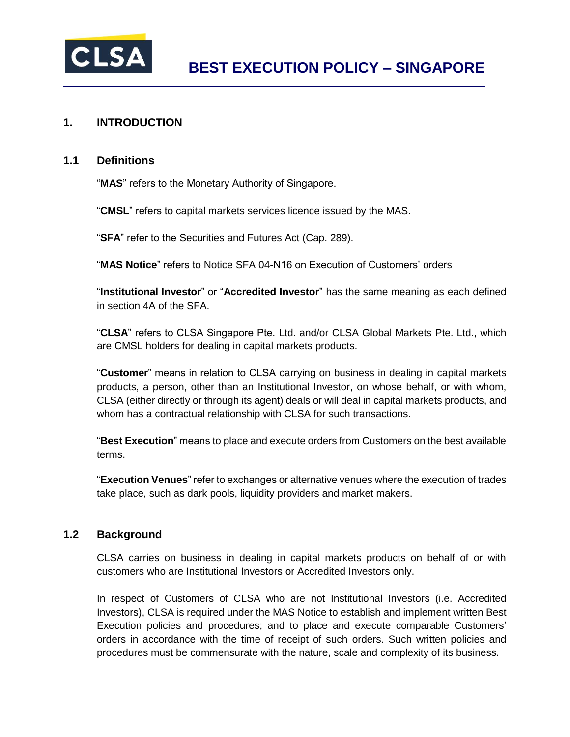

## **1. INTRODUCTION**

#### **1.1 Definitions**

"**MAS**" refers to the Monetary Authority of Singapore.

"**CMSL**" refers to capital markets services licence issued by the MAS.

"**SFA**" refer to the Securities and Futures Act (Cap. 289).

"**MAS Notice**" refers to Notice SFA 04-N16 on Execution of Customers' orders

"**Institutional Investor**" or "**Accredited Investor**" has the same meaning as each defined in section 4A of the SFA.

"**CLSA**" refers to CLSA Singapore Pte. Ltd. and/or CLSA Global Markets Pte. Ltd., which are CMSL holders for dealing in capital markets products.

"**Customer**" means in relation to CLSA carrying on business in dealing in capital markets products, a person, other than an Institutional Investor, on whose behalf, or with whom, CLSA (either directly or through its agent) deals or will deal in capital markets products, and whom has a contractual relationship with CLSA for such transactions.

"**Best Execution**" means to place and execute orders from Customers on the best available terms.

"**Execution Venues**" refer to exchanges or alternative venues where the execution of trades take place, such as dark pools, liquidity providers and market makers.

### **1.2 Background**

CLSA carries on business in dealing in capital markets products on behalf of or with customers who are Institutional Investors or Accredited Investors only.

In respect of Customers of CLSA who are not Institutional Investors (i.e. Accredited Investors), CLSA is required under the MAS Notice to establish and implement written Best Execution policies and procedures; and to place and execute comparable Customers' orders in accordance with the time of receipt of such orders. Such written policies and procedures must be commensurate with the nature, scale and complexity of its business.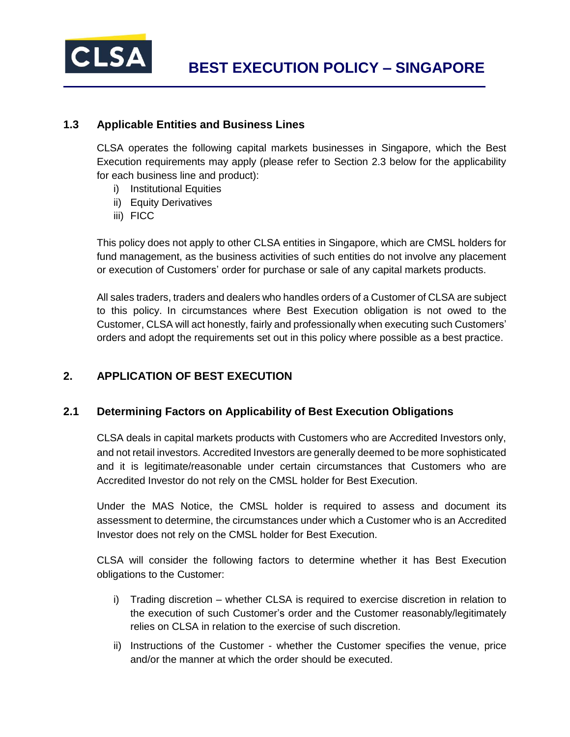

### **1.3 Applicable Entities and Business Lines**

CLSA operates the following capital markets businesses in Singapore, which the Best Execution requirements may apply (please refer to Section 2.3 below for the applicability for each business line and product):

- i) Institutional Equities
- ii) Equity Derivatives
- iii) FICC

This policy does not apply to other CLSA entities in Singapore, which are CMSL holders for fund management, as the business activities of such entities do not involve any placement or execution of Customers' order for purchase or sale of any capital markets products.

All sales traders, traders and dealers who handles orders of a Customer of CLSA are subject to this policy. In circumstances where Best Execution obligation is not owed to the Customer, CLSA will act honestly, fairly and professionally when executing such Customers' orders and adopt the requirements set out in this policy where possible as a best practice.

## **2. APPLICATION OF BEST EXECUTION**

### **2.1 Determining Factors on Applicability of Best Execution Obligations**

CLSA deals in capital markets products with Customers who are Accredited Investors only, and not retail investors. Accredited Investors are generally deemed to be more sophisticated and it is legitimate/reasonable under certain circumstances that Customers who are Accredited Investor do not rely on the CMSL holder for Best Execution.

Under the MAS Notice, the CMSL holder is required to assess and document its assessment to determine, the circumstances under which a Customer who is an Accredited Investor does not rely on the CMSL holder for Best Execution.

CLSA will consider the following factors to determine whether it has Best Execution obligations to the Customer:

- i) Trading discretion whether CLSA is required to exercise discretion in relation to the execution of such Customer's order and the Customer reasonably/legitimately relies on CLSA in relation to the exercise of such discretion.
- ii) Instructions of the Customer whether the Customer specifies the venue, price and/or the manner at which the order should be executed.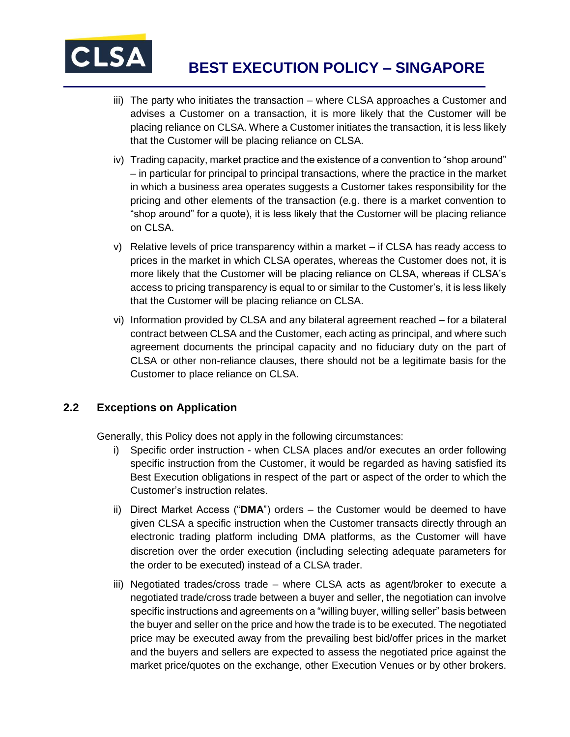

- iii) The party who initiates the transaction where CLSA approaches a Customer and advises a Customer on a transaction, it is more likely that the Customer will be placing reliance on CLSA. Where a Customer initiates the transaction, it is less likely that the Customer will be placing reliance on CLSA.
- iv) Trading capacity, market practice and the existence of a convention to "shop around" – in particular for principal to principal transactions, where the practice in the market in which a business area operates suggests a Customer takes responsibility for the pricing and other elements of the transaction (e.g. there is a market convention to "shop around" for a quote), it is less likely that the Customer will be placing reliance on CLSA.
- v) Relative levels of price transparency within a market if CLSA has ready access to prices in the market in which CLSA operates, whereas the Customer does not, it is more likely that the Customer will be placing reliance on CLSA, whereas if CLSA's access to pricing transparency is equal to or similar to the Customer's, it is less likely that the Customer will be placing reliance on CLSA.
- vi) Information provided by CLSA and any bilateral agreement reached for a bilateral contract between CLSA and the Customer, each acting as principal, and where such agreement documents the principal capacity and no fiduciary duty on the part of CLSA or other non-reliance clauses, there should not be a legitimate basis for the Customer to place reliance on CLSA.

## **2.2 Exceptions on Application**

Generally, this Policy does not apply in the following circumstances:

- i) Specific order instruction when CLSA places and/or executes an order following specific instruction from the Customer, it would be regarded as having satisfied its Best Execution obligations in respect of the part or aspect of the order to which the Customer's instruction relates.
- ii) Direct Market Access ("**DMA**") orders the Customer would be deemed to have given CLSA a specific instruction when the Customer transacts directly through an electronic trading platform including DMA platforms, as the Customer will have discretion over the order execution (including selecting adequate parameters for the order to be executed) instead of a CLSA trader.
- iii) Negotiated trades/cross trade where CLSA acts as agent/broker to execute a negotiated trade/cross trade between a buyer and seller, the negotiation can involve specific instructions and agreements on a "willing buyer, willing seller" basis between the buyer and seller on the price and how the trade is to be executed. The negotiated price may be executed away from the prevailing best bid/offer prices in the market and the buyers and sellers are expected to assess the negotiated price against the market price/quotes on the exchange, other Execution Venues or by other brokers.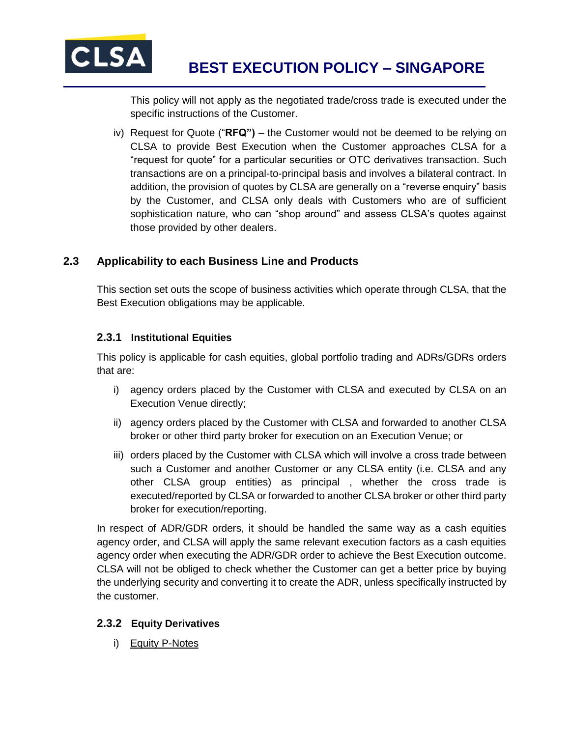

This policy will not apply as the negotiated trade/cross trade is executed under the specific instructions of the Customer.

iv) Request for Quote ("**RFQ")** – the Customer would not be deemed to be relying on CLSA to provide Best Execution when the Customer approaches CLSA for a "request for quote" for a particular securities or OTC derivatives transaction. Such transactions are on a principal-to-principal basis and involves a bilateral contract. In addition, the provision of quotes by CLSA are generally on a "reverse enquiry" basis by the Customer, and CLSA only deals with Customers who are of sufficient sophistication nature, who can "shop around" and assess CLSA's quotes against those provided by other dealers.

## **2.3 Applicability to each Business Line and Products**

This section set outs the scope of business activities which operate through CLSA, that the Best Execution obligations may be applicable.

### **2.3.1 Institutional Equities**

This policy is applicable for cash equities, global portfolio trading and ADRs/GDRs orders that are:

- i) agency orders placed by the Customer with CLSA and executed by CLSA on an Execution Venue directly;
- ii) agency orders placed by the Customer with CLSA and forwarded to another CLSA broker or other third party broker for execution on an Execution Venue; or
- iii) orders placed by the Customer with CLSA which will involve a cross trade between such a Customer and another Customer or any CLSA entity (i.e. CLSA and any other CLSA group entities) as principal , whether the cross trade is executed/reported by CLSA or forwarded to another CLSA broker or other third party broker for execution/reporting.

In respect of ADR/GDR orders, it should be handled the same way as a cash equities agency order, and CLSA will apply the same relevant execution factors as a cash equities agency order when executing the ADR/GDR order to achieve the Best Execution outcome. CLSA will not be obliged to check whether the Customer can get a better price by buying the underlying security and converting it to create the ADR, unless specifically instructed by the customer.

## **2.3.2 Equity Derivatives**

i) Equity P-Notes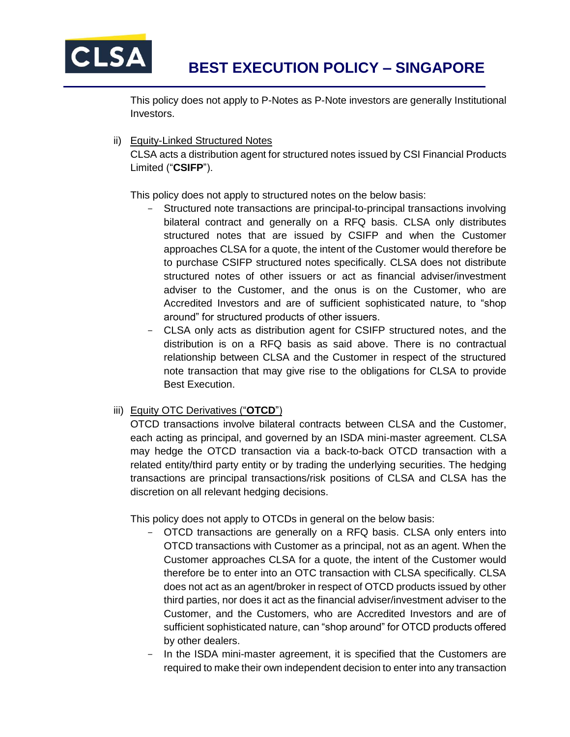

This policy does not apply to P-Notes as P-Note investors are generally Institutional Investors.

ii) Equity-Linked Structured Notes

CLSA acts a distribution agent for structured notes issued by CSI Financial Products Limited ("**CSIFP**").

This policy does not apply to structured notes on the below basis:

- Structured note transactions are principal-to-principal transactions involving bilateral contract and generally on a RFQ basis. CLSA only distributes structured notes that are issued by CSIFP and when the Customer approaches CLSA for a quote, the intent of the Customer would therefore be to purchase CSIFP structured notes specifically. CLSA does not distribute structured notes of other issuers or act as financial adviser/investment adviser to the Customer, and the onus is on the Customer, who are Accredited Investors and are of sufficient sophisticated nature, to "shop around" for structured products of other issuers.
- CLSA only acts as distribution agent for CSIFP structured notes, and the distribution is on a RFQ basis as said above. There is no contractual relationship between CLSA and the Customer in respect of the structured note transaction that may give rise to the obligations for CLSA to provide Best Execution[.](https://clsa.com/wp-content/uploads/2019/04/CSI-MTN-Prospectus_20151125.pdf)

### iii) Equity OTC Derivatives ("**OTCD**")

OTCD transactions involve bilateral contracts between CLSA and the Customer, each acting as principal, and governed by an ISDA mini-master agreement. CLSA may hedge the OTCD transaction via a back-to-back OTCD transaction with a related entity/third party entity or by trading the underlying securities. The hedging transactions are principal transactions/risk positions of CLSA and CLSA has the discretion on all relevant hedging decisions.

This policy does not apply to OTCDs in general on the below basis:

- OTCD transactions are generally on a RFQ basis. CLSA only enters into OTCD transactions with Customer as a principal, not as an agent. When the Customer approaches CLSA for a quote, the intent of the Customer would therefore be to enter into an OTC transaction with CLSA specifically. CLSA does not act as an agent/broker in respect of OTCD products issued by other third parties, nor does it act as the financial adviser/investment adviser to the Customer, and the Customers, who are Accredited Investors and are of sufficient sophisticated nature, can "shop around" for OTCD products offered by other dealers.
- In the ISDA mini-master agreement, it is specified that the Customers are required to make their own independent decision to enter into any transaction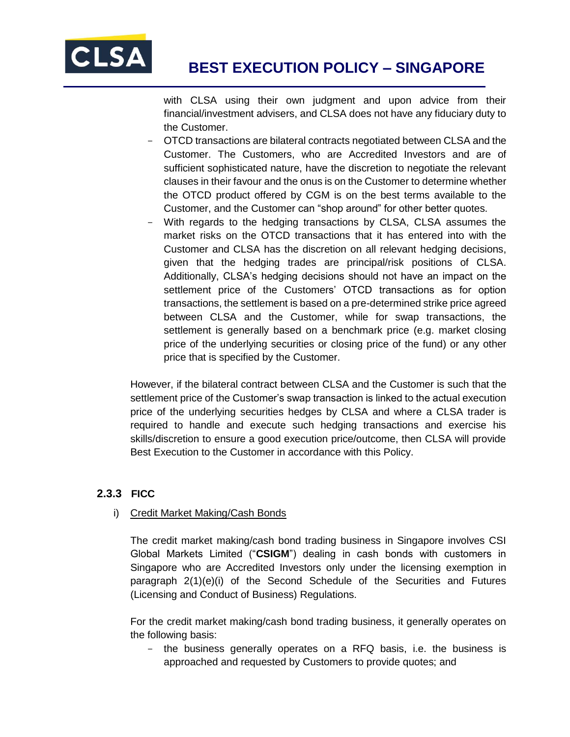

with CLSA using their own judgment and upon advice from their financial/investment advisers, and CLSA does not have any fiduciary duty to the Customer.

- OTCD transactions are bilateral contracts negotiated between CLSA and the Customer. The Customers, who are Accredited Investors and are of sufficient sophisticated nature, have the discretion to negotiate the relevant clauses in their favour and the onus is on the Customer to determine whether the OTCD product offered by CGM is on the best terms available to the Customer, and the Customer can "shop around" for other better quotes.
- With regards to the hedging transactions by CLSA, CLSA assumes the market risks on the OTCD transactions that it has entered into with the Customer and CLSA has the discretion on all relevant hedging decisions, given that the hedging trades are principal/risk positions of CLSA. Additionally, CLSA's hedging decisions should not have an impact on the settlement price of the Customers' OTCD transactions as for option transactions, the settlement is based on a pre-determined strike price agreed between CLSA and the Customer, while for swap transactions, the settlement is generally based on a benchmark price (e.g. market closing price of the underlying securities or closing price of the fund) or any other price that is specified by the Customer.

However, if the bilateral contract between CLSA and the Customer is such that the settlement price of the Customer's swap transaction is linked to the actual execution price of the underlying securities hedges by CLSA and where a CLSA trader is required to handle and execute such hedging transactions and exercise his skills/discretion to ensure a good execution price/outcome, then CLSA will provide Best Execution to the Customer in accordance with this Policy.

### **2.3.3 FICC**

### i) Credit Market Making/Cash Bonds

The credit market making/cash bond trading business in Singapore involves CSI Global Markets Limited ("**CSIGM**") dealing in cash bonds with customers in Singapore who are Accredited Investors only under the licensing exemption in paragraph 2(1)(e)(i) of the Second Schedule of the Securities and Futures (Licensing and Conduct of Business) Regulations.

For the credit market making/cash bond trading business, it generally operates on the following basis:

- the business generally operates on a RFQ basis, i.e. the business is approached and requested by Customers to provide quotes; and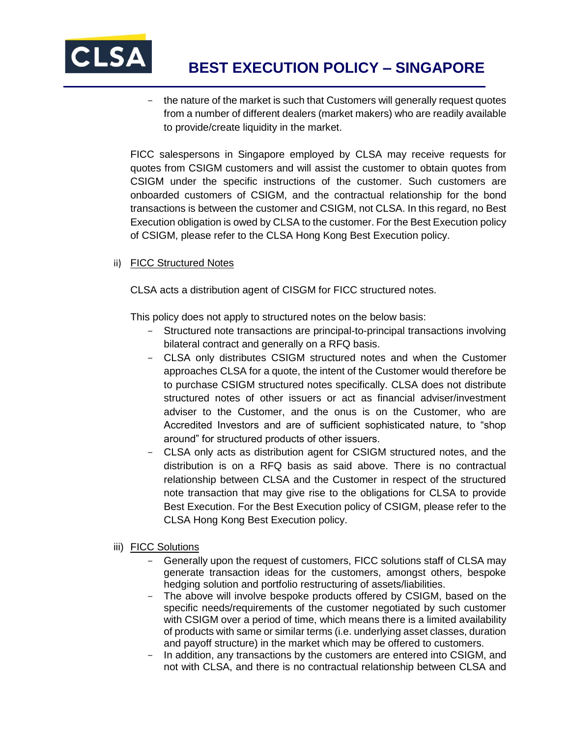

- the nature of the market is such that Customers will generally request quotes from a number of different dealers (market makers) who are readily available to provide/create liquidity in the market.

FICC salespersons in Singapore employed by CLSA may receive requests for quotes from CSIGM customers and will assist the customer to obtain quotes from CSIGM under the specific instructions of the customer. Such customers are onboarded customers of CSIGM, and the contractual relationship for the bond transactions is between the customer and CSIGM, not CLSA. In this regard, no Best Execution obligation is owed by CLSA to the customer. For the Best Execution policy of CSIGM, please refer to the CLSA Hong Kong Best Execution policy.

ii) FICC Structured Notes

CLSA acts a distribution agent of CISGM for FICC structured notes.

This policy does not apply to structured notes on the below basis:

- Structured note transactions are principal-to-principal transactions involving bilateral contract and generally on a RFQ basis.
- CLSA only distributes CSIGM structured notes and when the Customer approaches CLSA for a quote, the intent of the Customer would therefore be to purchase CSIGM structured notes specifically. CLSA does not distribute structured notes of other issuers or act as financial adviser/investment adviser to the Customer, and the onus is on the Customer, who are Accredited Investors and are of sufficient sophisticated nature, to "shop around" for structured products of other issuers.
- CLSA only acts as distribution agent for CSIGM structured notes, and the distribution is on a RFQ basis as said above. There is no contractual relationship between CLSA and the Customer in respect of the structured note transaction that may give rise to the obligations for CLSA to provide Best Execution. For the Best Execution policy of CSIGM, please refer to the CLSA Hong Kong Best Execution policy.
- iii) FICC Solutions
	- Generally upon the request of customers, FICC solutions staff of CLSA may generate transaction ideas for the customers, amongst others, bespoke hedging solution and portfolio restructuring of assets/liabilities.
	- The above will involve bespoke products offered by CSIGM, based on the specific needs/requirements of the customer negotiated by such customer with CSIGM over a period of time, which means there is a limited availability of products with same or similar terms (i.e. underlying asset classes, duration and payoff structure) in the market which may be offered to customers.
	- In addition, any transactions by the customers are entered into CSIGM, and not with CLSA, and there is no contractual relationship between CLSA and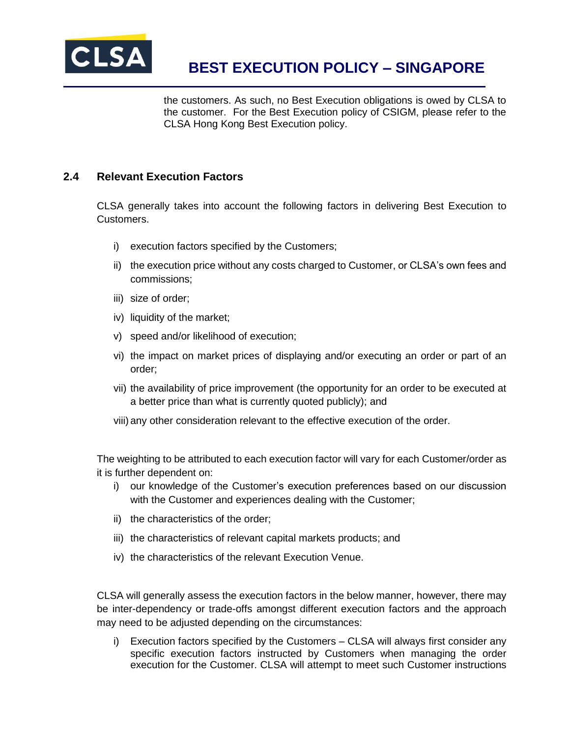

the customers. As such, no Best Execution obligations is owed by CLSA to the customer. For the Best Execution policy of CSIGM, please refer to the CLSA Hong Kong Best Execution policy.

### **2.4 Relevant Execution Factors**

CLSA generally takes into account the following factors in delivering Best Execution to Customers.

- i) execution factors specified by the Customers;
- ii) the execution price without any costs charged to Customer, or CLSA's own fees and commissions;
- iii) size of order;
- iv) liquidity of the market;
- v) speed and/or likelihood of execution;
- vi) the impact on market prices of displaying and/or executing an order or part of an order;
- vii) the availability of price improvement (the opportunity for an order to be executed at a better price than what is currently quoted publicly); and
- viii) any other consideration relevant to the effective execution of the order.

The weighting to be attributed to each execution factor will vary for each Customer/order as it is further dependent on:

- i) our knowledge of the Customer's execution preferences based on our discussion with the Customer and experiences dealing with the Customer;
- ii) the characteristics of the order;
- iii) the characteristics of relevant capital markets products; and
- iv) the characteristics of the relevant Execution Venue.

CLSA will generally assess the execution factors in the below manner, however, there may be inter-dependency or trade-offs amongst different execution factors and the approach may need to be adjusted depending on the circumstances:

i) Execution factors specified by the Customers – CLSA will always first consider any specific execution factors instructed by Customers when managing the order execution for the Customer. CLSA will attempt to meet such Customer instructions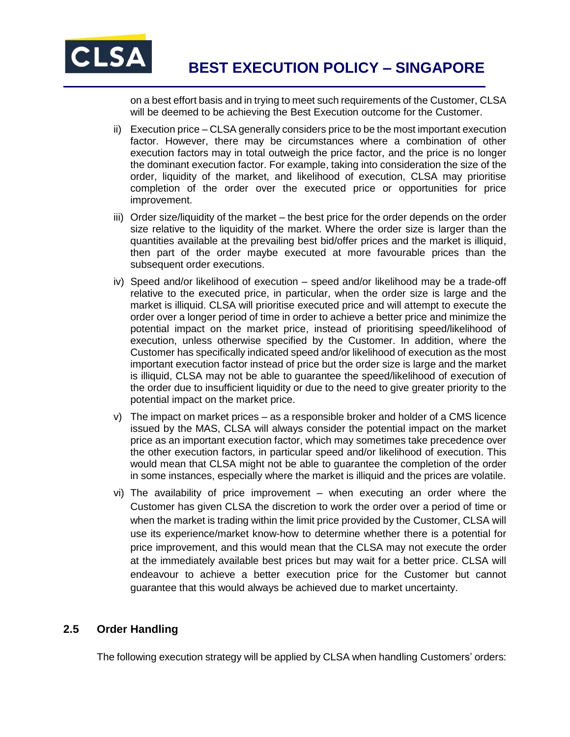

on a best effort basis and in trying to meet such requirements of the Customer, CLSA will be deemed to be achieving the Best Execution outcome for the Customer.

- ii) Execution price CLSA generally considers price to be the most important execution factor. However, there may be circumstances where a combination of other execution factors may in total outweigh the price factor, and the price is no longer the dominant execution factor. For example, taking into consideration the size of the order, liquidity of the market, and likelihood of execution, CLSA may prioritise completion of the order over the executed price or opportunities for price improvement.
- iii) Order size/liquidity of the market the best price for the order depends on the order size relative to the liquidity of the market. Where the order size is larger than the quantities available at the prevailing best bid/offer prices and the market is illiquid, then part of the order maybe executed at more favourable prices than the subsequent order executions.
- iv) Speed and/or likelihood of execution speed and/or likelihood may be a trade-off relative to the executed price, in particular, when the order size is large and the market is illiquid. CLSA will prioritise executed price and will attempt to execute the order over a longer period of time in order to achieve a better price and minimize the potential impact on the market price, instead of prioritising speed/likelihood of execution, unless otherwise specified by the Customer. In addition, where the Customer has specifically indicated speed and/or likelihood of execution as the most important execution factor instead of price but the order size is large and the market is illiquid, CLSA may not be able to guarantee the speed/likelihood of execution of the order due to insufficient liquidity or due to the need to give greater priority to the potential impact on the market price.
- v) The impact on market prices as a responsible broker and holder of a CMS licence issued by the MAS, CLSA will always consider the potential impact on the market price as an important execution factor, which may sometimes take precedence over the other execution factors, in particular speed and/or likelihood of execution. This would mean that CLSA might not be able to guarantee the completion of the order in some instances, especially where the market is illiquid and the prices are volatile.
- vi) The availability of price improvement when executing an order where the Customer has given CLSA the discretion to work the order over a period of time or when the market is trading within the limit price provided by the Customer, CLSA will use its experience/market know-how to determine whether there is a potential for price improvement, and this would mean that the CLSA may not execute the order at the immediately available best prices but may wait for a better price. CLSA will endeavour to achieve a better execution price for the Customer but cannot guarantee that this would always be achieved due to market uncertainty.

## **2.5 Order Handling**

The following execution strategy will be applied by CLSA when handling Customers' orders: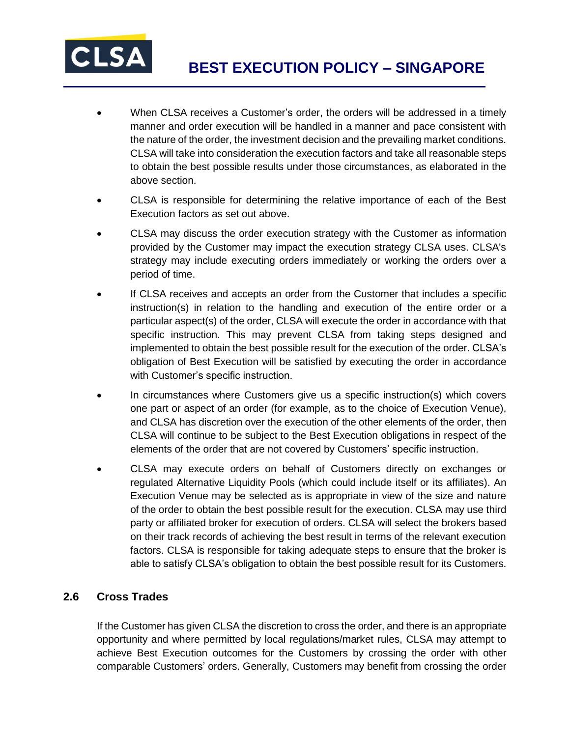

- When CLSA receives a Customer's order, the orders will be addressed in a timely manner and order execution will be handled in a manner and pace consistent with the nature of the order, the investment decision and the prevailing market conditions. CLSA will take into consideration the execution factors and take all reasonable steps to obtain the best possible results under those circumstances, as elaborated in the above section.
- CLSA is responsible for determining the relative importance of each of the Best Execution factors as set out above.
- CLSA may discuss the order execution strategy with the Customer as information provided by the Customer may impact the execution strategy CLSA uses. CLSA's strategy may include executing orders immediately or working the orders over a period of time.
- If CLSA receives and accepts an order from the Customer that includes a specific instruction(s) in relation to the handling and execution of the entire order or a particular aspect(s) of the order, CLSA will execute the order in accordance with that specific instruction. This may prevent CLSA from taking steps designed and implemented to obtain the best possible result for the execution of the order. CLSA's obligation of Best Execution will be satisfied by executing the order in accordance with Customer's specific instruction.
- In circumstances where Customers give us a specific instruction(s) which covers one part or aspect of an order (for example, as to the choice of Execution Venue), and CLSA has discretion over the execution of the other elements of the order, then CLSA will continue to be subject to the Best Execution obligations in respect of the elements of the order that are not covered by Customers' specific instruction.
- CLSA may execute orders on behalf of Customers directly on exchanges or regulated Alternative Liquidity Pools (which could include itself or its affiliates). An Execution Venue may be selected as is appropriate in view of the size and nature of the order to obtain the best possible result for the execution. CLSA may use third party or affiliated broker for execution of orders. CLSA will select the brokers based on their track records of achieving the best result in terms of the relevant execution factors. CLSA is responsible for taking adequate steps to ensure that the broker is able to satisfy CLSA's obligation to obtain the best possible result for its Customers.

## **2.6 Cross Trades**

If the Customer has given CLSA the discretion to cross the order, and there is an appropriate opportunity and where permitted by local regulations/market rules, CLSA may attempt to achieve Best Execution outcomes for the Customers by crossing the order with other comparable Customers' orders. Generally, Customers may benefit from crossing the order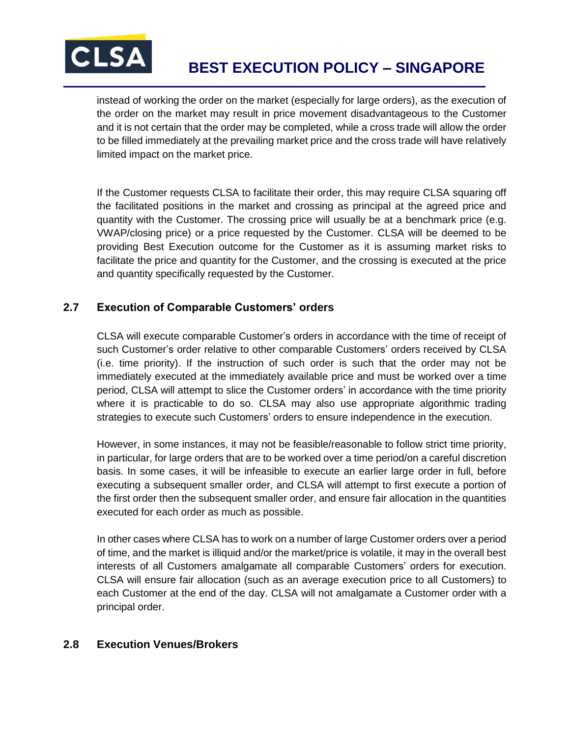

instead of working the order on the market (especially for large orders), as the execution of the order on the market may result in price movement disadvantageous to the Customer and it is not certain that the order may be completed, while a cross trade will allow the order to be filled immediately at the prevailing market price and the cross trade will have relatively limited impact on the market price.

If the Customer requests CLSA to facilitate their order, this may require CLSA squaring off the facilitated positions in the market and crossing as principal at the agreed price and quantity with the Customer. The crossing price will usually be at a benchmark price (e.g. VWAP/closing price) or a price requested by the Customer. CLSA will be deemed to be providing Best Execution outcome for the Customer as it is assuming market risks to facilitate the price and quantity for the Customer, and the crossing is executed at the price and quantity specifically requested by the Customer.

## **2.7 Execution of Comparable Customers' orders**

CLSA will execute comparable Customer's orders in accordance with the time of receipt of such Customer's order relative to other comparable Customers' orders received by CLSA (i.e. time priority). If the instruction of such order is such that the order may not be immediately executed at the immediately available price and must be worked over a time period, CLSA will attempt to slice the Customer orders' in accordance with the time priority where it is practicable to do so. CLSA may also use appropriate algorithmic trading strategies to execute such Customers' orders to ensure independence in the execution.

However, in some instances, it may not be feasible/reasonable to follow strict time priority, in particular, for large orders that are to be worked over a time period/on a careful discretion basis. In some cases, it will be infeasible to execute an earlier large order in full, before executing a subsequent smaller order, and CLSA will attempt to first execute a portion of the first order then the subsequent smaller order, and ensure fair allocation in the quantities executed for each order as much as possible.

In other cases where CLSA has to work on a number of large Customer orders over a period of time, and the market is illiquid and/or the market/price is volatile, it may in the overall best interests of all Customers amalgamate all comparable Customers' orders for execution. CLSA will ensure fair allocation (such as an average execution price to all Customers) to each Customer at the end of the day. CLSA will not amalgamate a Customer order with a principal order.

### **2.8 Execution Venues/Brokers**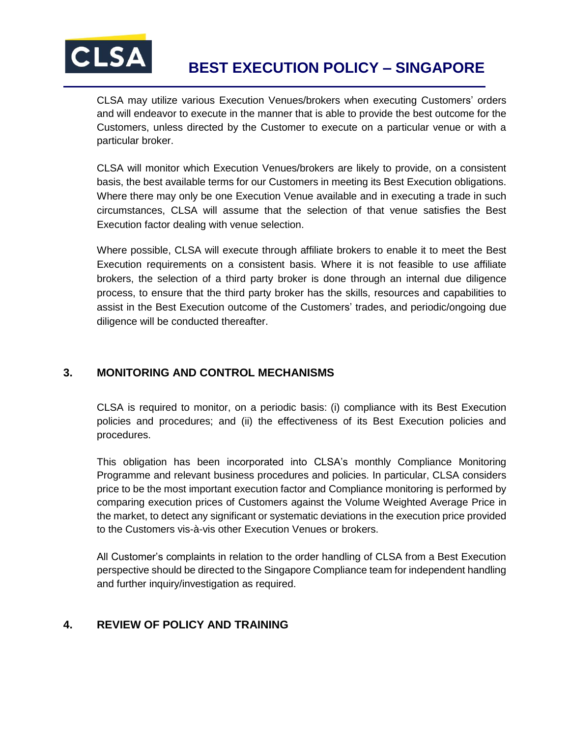

CLSA may utilize various Execution Venues/brokers when executing Customers' orders and will endeavor to execute in the manner that is able to provide the best outcome for the Customers, unless directed by the Customer to execute on a particular venue or with a particular broker.

CLSA will monitor which Execution Venues/brokers are likely to provide, on a consistent basis, the best available terms for our Customers in meeting its Best Execution obligations. Where there may only be one Execution Venue available and in executing a trade in such circumstances, CLSA will assume that the selection of that venue satisfies the Best Execution factor dealing with venue selection.

Where possible, CLSA will execute through affiliate brokers to enable it to meet the Best Execution requirements on a consistent basis. Where it is not feasible to use affiliate brokers, the selection of a third party broker is done through an internal due diligence process, to ensure that the third party broker has the skills, resources and capabilities to assist in the Best Execution outcome of the Customers' trades, and periodic/ongoing due diligence will be conducted thereafter.

## **3. MONITORING AND CONTROL MECHANISMS**

CLSA is required to monitor, on a periodic basis: (i) compliance with its Best Execution policies and procedures; and (ii) the effectiveness of its Best Execution policies and procedures.

This obligation has been incorporated into CLSA's monthly Compliance Monitoring Programme and relevant business procedures and policies. In particular, CLSA considers price to be the most important execution factor and Compliance monitoring is performed by comparing execution prices of Customers against the Volume Weighted Average Price in the market, to detect any significant or systematic deviations in the execution price provided to the Customers vis-à-vis other Execution Venues or brokers.

All Customer's complaints in relation to the order handling of CLSA from a Best Execution perspective should be directed to the Singapore Compliance team for independent handling and further inquiry/investigation as required.

## **4. REVIEW OF POLICY AND TRAINING**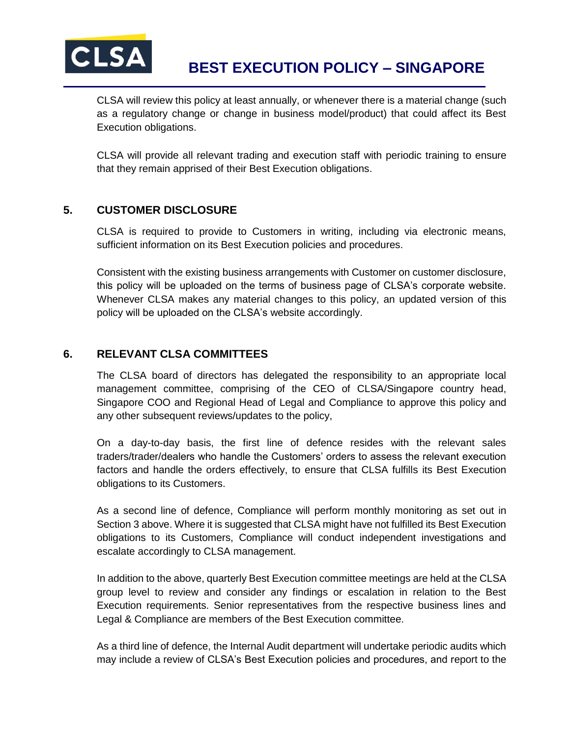

CLSA will review this policy at least annually, or whenever there is a material change (such as a regulatory change or change in business model/product) that could affect its Best Execution obligations.

CLSA will provide all relevant trading and execution staff with periodic training to ensure that they remain apprised of their Best Execution obligations.

## **5. CUSTOMER DISCLOSURE**

CLSA is required to provide to Customers in writing, including via electronic means, sufficient information on its Best Execution policies and procedures.

Consistent with the existing business arrangements with Customer on customer disclosure, this policy will be uploaded on the terms of business page of CLSA's corporate website. Whenever CLSA makes any material changes to this policy, an updated version of this policy will be uploaded on the CLSA's website accordingly.

### **6. RELEVANT CLSA COMMITTEES**

The CLSA board of directors has delegated the responsibility to an appropriate local management committee, comprising of the CEO of CLSA/Singapore country head, Singapore COO and Regional Head of Legal and Compliance to approve this policy and any other subsequent reviews/updates to the policy,

On a day-to-day basis, the first line of defence resides with the relevant sales traders/trader/dealers who handle the Customers' orders to assess the relevant execution factors and handle the orders effectively, to ensure that CLSA fulfills its Best Execution obligations to its Customers.

As a second line of defence, Compliance will perform monthly monitoring as set out in Section 3 above. Where it is suggested that CLSA might have not fulfilled its Best Execution obligations to its Customers, Compliance will conduct independent investigations and escalate accordingly to CLSA management.

In addition to the above, quarterly Best Execution committee meetings are held at the CLSA group level to review and consider any findings or escalation in relation to the Best Execution requirements. Senior representatives from the respective business lines and Legal & Compliance are members of the Best Execution committee.

As a third line of defence, the Internal Audit department will undertake periodic audits which may include a review of CLSA's Best Execution policies and procedures, and report to the